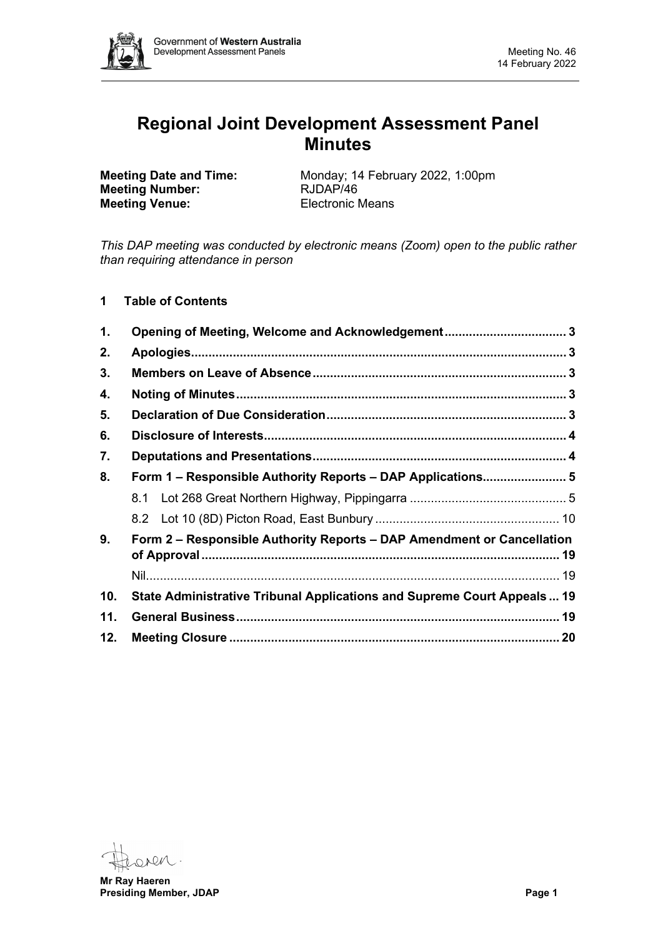

# **Regional Joint Development Assessment Panel Minutes**

**Meeting Number: Meeting Venue:** Electronic Means

**Meeting Date and Time:** Monday; 14 February 2022, 1:00pm<br>**Meeting Number:** RJDAP/46

*This DAP meeting was conducted by electronic means (Zoom) open to the public rather than requiring attendance in person*

**1 Table of Contents**

| 1.  | Opening of Meeting, Welcome and Acknowledgement 3                       |  |  |  |  |
|-----|-------------------------------------------------------------------------|--|--|--|--|
| 2.  |                                                                         |  |  |  |  |
| 3.  |                                                                         |  |  |  |  |
| 4.  |                                                                         |  |  |  |  |
| 5.  |                                                                         |  |  |  |  |
| 6.  |                                                                         |  |  |  |  |
| 7.  |                                                                         |  |  |  |  |
| 8.  | Form 1 - Responsible Authority Reports - DAP Applications 5             |  |  |  |  |
|     | 8.1                                                                     |  |  |  |  |
|     |                                                                         |  |  |  |  |
| 9.  | Form 2 – Responsible Authority Reports – DAP Amendment or Cancellation  |  |  |  |  |
|     |                                                                         |  |  |  |  |
| 10. | State Administrative Tribunal Applications and Supreme Court Appeals 19 |  |  |  |  |
| 11. |                                                                         |  |  |  |  |
| 12. |                                                                         |  |  |  |  |

OARM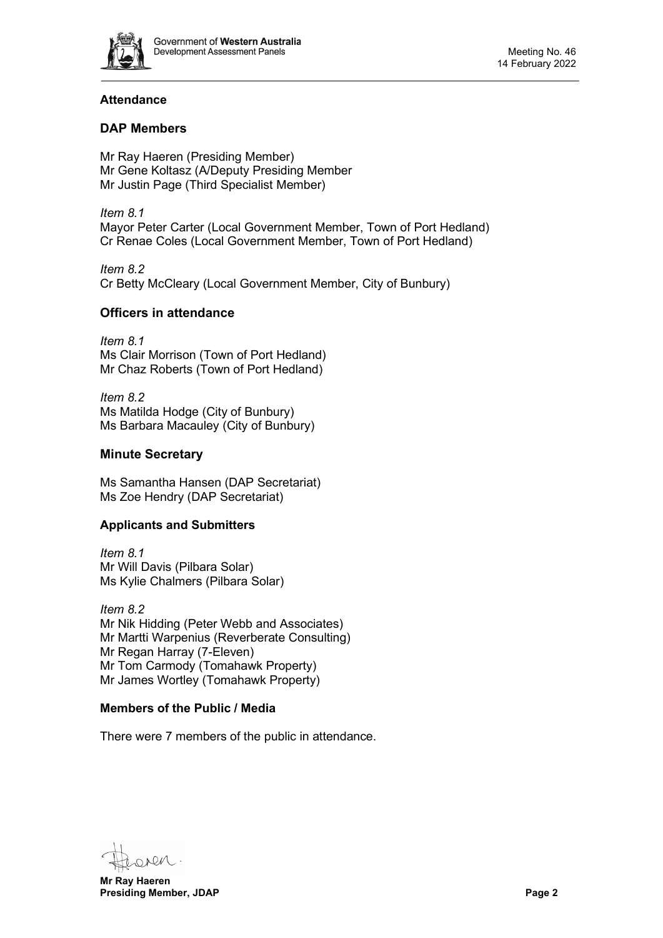

# **Attendance**

# **DAP Members**

Mr Ray Haeren (Presiding Member) Mr Gene Koltasz (A/Deputy Presiding Member Mr Justin Page (Third Specialist Member)

*Item 8.1* Mayor Peter Carter (Local Government Member, Town of Port Hedland) Cr Renae Coles (Local Government Member, Town of Port Hedland)

*Item 8.2* Cr Betty McCleary (Local Government Member, City of Bunbury)

# **Officers in attendance**

*Item 8.1* Ms Clair Morrison (Town of Port Hedland) Mr Chaz Roberts (Town of Port Hedland)

*Item 8.2* Ms Matilda Hodge (City of Bunbury) Ms Barbara Macauley (City of Bunbury)

# **Minute Secretary**

Ms Samantha Hansen (DAP Secretariat) Ms Zoe Hendry (DAP Secretariat)

# **Applicants and Submitters**

*Item 8.1* Mr Will Davis (Pilbara Solar) Ms Kylie Chalmers (Pilbara Solar)

*Item 8.2* Mr Nik Hidding (Peter Webb and Associates) Mr Martti Warpenius (Reverberate Consulting) Mr Regan Harray (7-Eleven) Mr Tom Carmody (Tomahawk Property) Mr James Wortley (Tomahawk Property)

#### **Members of the Public / Media**

There were 7 members of the public in attendance.

Den

**Mr Ray Haeren Presiding Member, JDAP Page 2**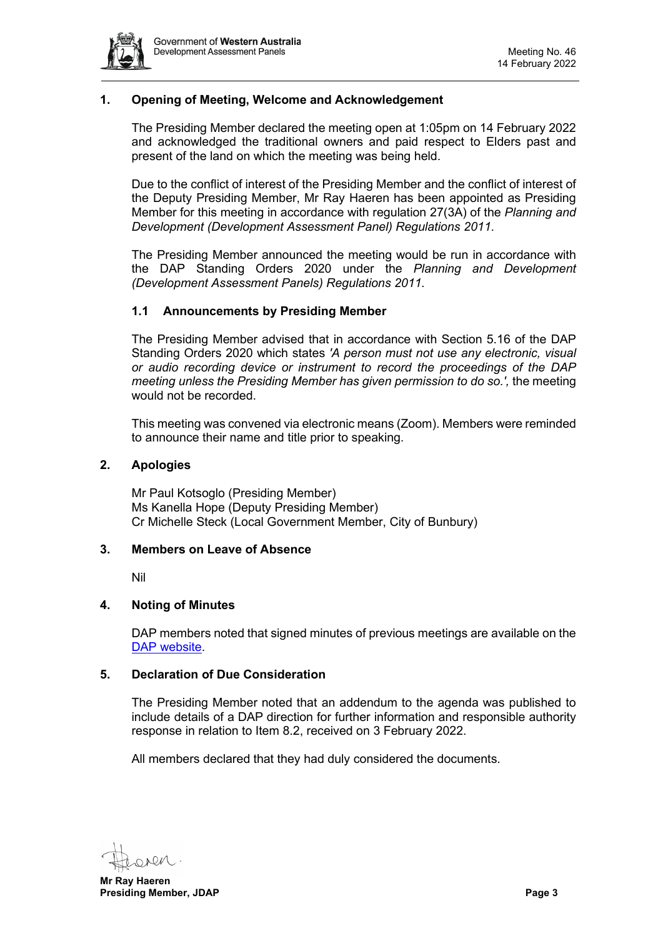

# <span id="page-2-0"></span>**1. Opening of Meeting, Welcome and Acknowledgement**

The Presiding Member declared the meeting open at 1:05pm on 14 February 2022 and acknowledged the traditional owners and paid respect to Elders past and present of the land on which the meeting was being held.

Due to the conflict of interest of the Presiding Member and the conflict of interest of the Deputy Presiding Member, Mr Ray Haeren has been appointed as Presiding Member for this meeting in accordance with regulation 27(3A) of the *Planning and Development (Development Assessment Panel) Regulations 2011*.

The Presiding Member announced the meeting would be run in accordance with the DAP Standing Orders 2020 under the *Planning and Development (Development Assessment Panels) Regulations 2011.*

# **1.1 Announcements by Presiding Member**

The Presiding Member advised that in accordance with Section 5.16 of the DAP Standing Orders 2020 which states *'A person must not use any electronic, visual or audio recording device or instrument to record the proceedings of the DAP meeting unless the Presiding Member has given permission to do so.',* the meeting would not be recorded.

This meeting was convened via electronic means (Zoom). Members were reminded to announce their name and title prior to speaking.

#### <span id="page-2-1"></span>**2. Apologies**

Mr Paul Kotsoglo (Presiding Member) Ms Kanella Hope (Deputy Presiding Member) Cr Michelle Steck (Local Government Member, City of Bunbury)

#### <span id="page-2-2"></span>**3. Members on Leave of Absence**

Nil

#### <span id="page-2-3"></span>**4. Noting of Minutes**

DAP members noted that signed minutes of previous meetings are available on the [DAP website.](https://www.dplh.wa.gov.au/about/development-assessment-panels/daps-agendas-and-minutes)

#### <span id="page-2-4"></span>**5. Declaration of Due Consideration**

The Presiding Member noted that an addendum to the agenda was published to include details of a DAP direction for further information and responsible authority response in relation to Item 8.2, received on 3 February 2022.

All members declared that they had duly considered the documents.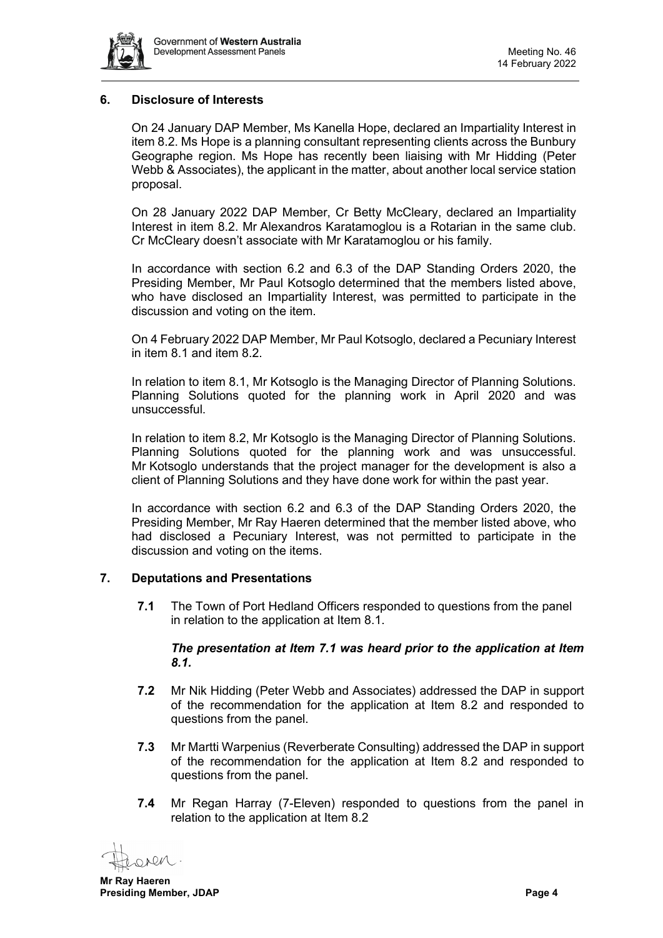

### <span id="page-3-0"></span>**6. Disclosure of Interests**

On 24 January DAP Member, Ms Kanella Hope, declared an Impartiality Interest in item 8.2. Ms Hope is a planning consultant representing clients across the Bunbury Geographe region. Ms Hope has recently been liaising with Mr Hidding (Peter Webb & Associates), the applicant in the matter, about another local service station proposal.

On 28 January 2022 DAP Member, Cr Betty McCleary, declared an Impartiality Interest in item 8.2. Mr Alexandros Karatamoglou is a Rotarian in the same club. Cr McCleary doesn't associate with Mr Karatamoglou or his family.

In accordance with section 6.2 and 6.3 of the DAP Standing Orders 2020, the Presiding Member, Mr Paul Kotsoglo determined that the members listed above, who have disclosed an Impartiality Interest, was permitted to participate in the discussion and voting on the item.

On 4 February 2022 DAP Member, Mr Paul Kotsoglo, declared a Pecuniary Interest in item 8.1 and item 8.2.

In relation to item 8.1, Mr Kotsoglo is the Managing Director of Planning Solutions. Planning Solutions quoted for the planning work in April 2020 and was unsuccessful.

In relation to item 8.2, Mr Kotsoglo is the Managing Director of Planning Solutions. Planning Solutions quoted for the planning work and was unsuccessful. Mr Kotsoglo understands that the project manager for the development is also a client of Planning Solutions and they have done work for within the past year.

In accordance with section 6.2 and 6.3 of the DAP Standing Orders 2020, the Presiding Member, Mr Ray Haeren determined that the member listed above, who had disclosed a Pecuniary Interest, was not permitted to participate in the discussion and voting on the items.

#### <span id="page-3-1"></span>**7. Deputations and Presentations**

**7.1** The Town of Port Hedland Officers responded to questions from the panel in relation to the application at Item 8.1.

### *The presentation at Item 7.1 was heard prior to the application at Item 8.1.*

- **7.2** Mr Nik Hidding (Peter Webb and Associates) addressed the DAP in support of the recommendation for the application at Item 8.2 and responded to questions from the panel.
- **7.3** Mr Martti Warpenius (Reverberate Consulting) addressed the DAP in support of the recommendation for the application at Item 8.2 and responded to questions from the panel.
- **7.4** Mr Regan Harray (7-Eleven) responded to questions from the panel in relation to the application at Item 8.2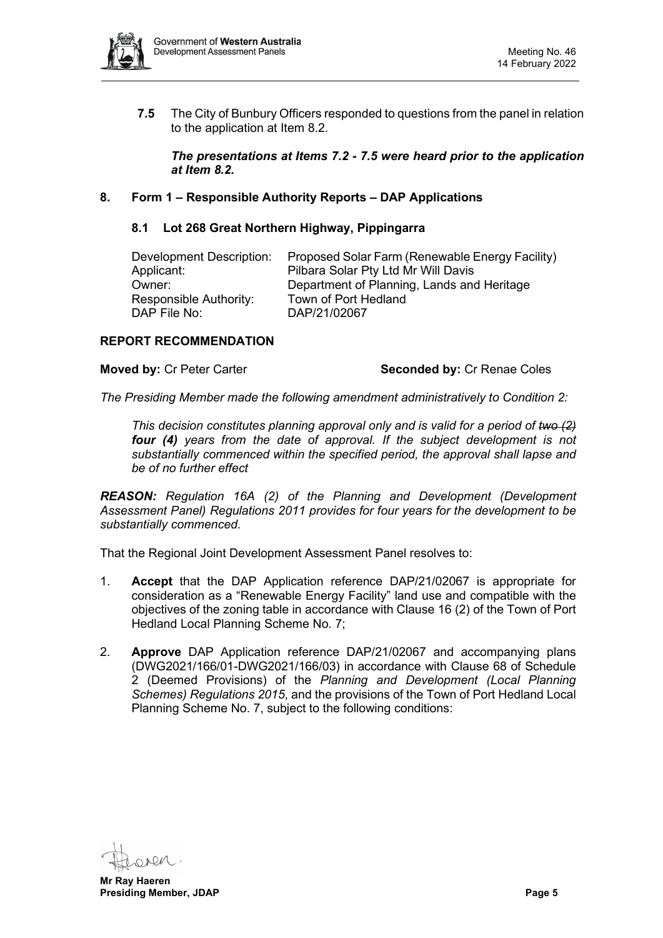

**7.5** The City of Bunbury Officers responded to questions from the panel in relation to the application at Item 8.2.

*The presentations at Items 7.2 - 7.5 were heard prior to the application at Item 8.2.* 

# <span id="page-4-1"></span><span id="page-4-0"></span>**8. Form 1 – Responsible Authority Reports – DAP Applications**

#### **8.1 Lot 268 Great Northern Highway, Pippingarra**

| Development Description: | Proposed Solar Farm (Renewable Energy Facility) |
|--------------------------|-------------------------------------------------|
| Applicant:               | Pilbara Solar Pty Ltd Mr Will Davis             |
| Owner:                   | Department of Planning, Lands and Heritage      |
| Responsible Authority:   | Town of Port Hedland                            |
| DAP File No:             | DAP/21/02067                                    |

#### **REPORT RECOMMENDATION**

#### **Moved by: Cr Peter Carter <b>Seconded by: Cr Renae Coles** Seconded by: Cr Renae Coles

*The Presiding Member made the following amendment administratively to Condition 2:*

*This decision constitutes planning approval only and is valid for a period of two (2) four (4) years from the date of approval. If the subject development is not substantially commenced within the specified period, the approval shall lapse and be of no further effect*

*REASON: Regulation 16A (2) of the Planning and Development (Development Assessment Panel) Regulations 2011 provides for four years for the development to be substantially commenced.*

That the Regional Joint Development Assessment Panel resolves to:

- 1. **Accept** that the DAP Application reference DAP/21/02067 is appropriate for consideration as a "Renewable Energy Facility" land use and compatible with the objectives of the zoning table in accordance with Clause 16 (2) of the Town of Port Hedland Local Planning Scheme No. 7;
- 2. **Approve** DAP Application reference DAP/21/02067 and accompanying plans (DWG2021/166/01-DWG2021/166/03) in accordance with Clause 68 of Schedule 2 (Deemed Provisions) of the *Planning and Development (Local Planning Schemes) Regulations 2015*, and the provisions of the Town of Port Hedland Local Planning Scheme No. 7, subject to the following conditions: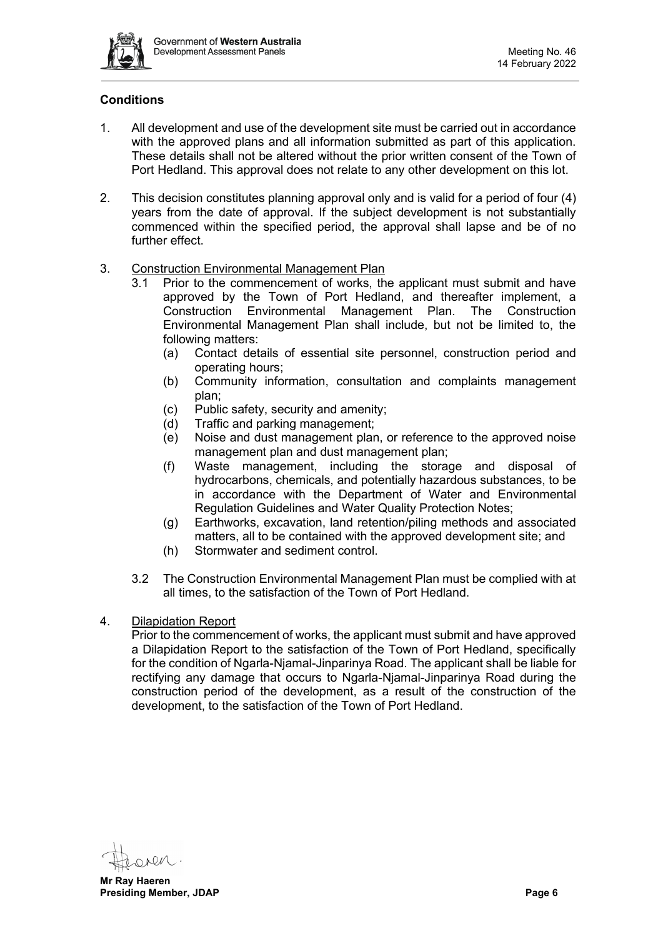

# **Conditions**

- 1. All development and use of the development site must be carried out in accordance with the approved plans and all information submitted as part of this application. These details shall not be altered without the prior written consent of the Town of Port Hedland. This approval does not relate to any other development on this lot.
- 2. This decision constitutes planning approval only and is valid for a period of four (4) years from the date of approval. If the subject development is not substantially commenced within the specified period, the approval shall lapse and be of no further effect
- 3. Construction Environmental Management Plan
	- 3.1 Prior to the commencement of works, the applicant must submit and have approved by the Town of Port Hedland, and thereafter implement, a Construction Environmental Management Plan. The Construction Environmental Management Plan shall include, but not be limited to, the following matters:
		- (a) Contact details of essential site personnel, construction period and operating hours;
		- (b) Community information, consultation and complaints management plan;
		- (c) Public safety, security and amenity;<br>(d) Traffic and parking management:
		- Traffic and parking management:
		- (e) Noise and dust management plan, or reference to the approved noise management plan and dust management plan;
		- (f) Waste management, including the storage and disposal of hydrocarbons, chemicals, and potentially hazardous substances, to be in accordance with the Department of Water and Environmental Regulation Guidelines and Water Quality Protection Notes;
		- (g) Earthworks, excavation, land retention/piling methods and associated matters, all to be contained with the approved development site; and
		- (h) Stormwater and sediment control.
	- 3.2 The Construction Environmental Management Plan must be complied with at all times, to the satisfaction of the Town of Port Hedland.
- 4. Dilapidation Report

Prior to the commencement of works, the applicant must submit and have approved a Dilapidation Report to the satisfaction of the Town of Port Hedland, specifically for the condition of Ngarla-Njamal-Jinparinya Road. The applicant shall be liable for rectifying any damage that occurs to Ngarla-Njamal-Jinparinya Road during the construction period of the development, as a result of the construction of the development, to the satisfaction of the Town of Port Hedland.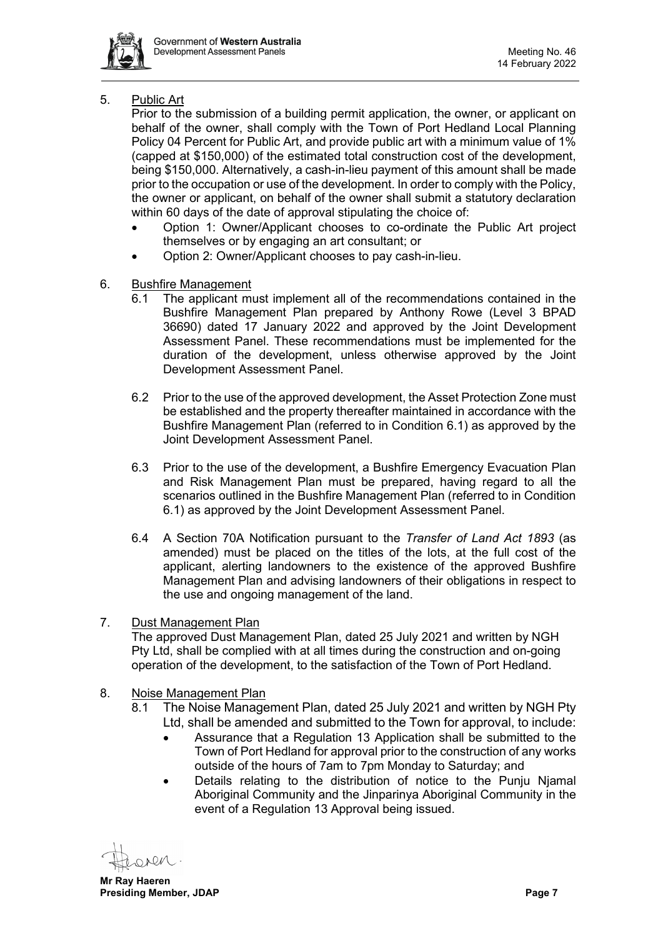

# 5. Public Art

Prior to the submission of a building permit application, the owner, or applicant on behalf of the owner, shall comply with the Town of Port Hedland Local Planning Policy 04 Percent for Public Art, and provide public art with a minimum value of 1% (capped at \$150,000) of the estimated total construction cost of the development, being \$150,000. Alternatively, a cash-in-lieu payment of this amount shall be made prior to the occupation or use of the development. In order to comply with the Policy, the owner or applicant, on behalf of the owner shall submit a statutory declaration within 60 days of the date of approval stipulating the choice of:

- Option 1: Owner/Applicant chooses to co-ordinate the Public Art project themselves or by engaging an art consultant; or
- Option 2: Owner/Applicant chooses to pay cash-in-lieu.
- 6. Bushfire Management
	- 6.1 The applicant must implement all of the recommendations contained in the Bushfire Management Plan prepared by Anthony Rowe (Level 3 BPAD 36690) dated 17 January 2022 and approved by the Joint Development Assessment Panel. These recommendations must be implemented for the duration of the development, unless otherwise approved by the Joint Development Assessment Panel.
	- 6.2 Prior to the use of the approved development, the Asset Protection Zone must be established and the property thereafter maintained in accordance with the Bushfire Management Plan (referred to in Condition 6.1) as approved by the Joint Development Assessment Panel.
	- 6.3 Prior to the use of the development, a Bushfire Emergency Evacuation Plan and Risk Management Plan must be prepared, having regard to all the scenarios outlined in the Bushfire Management Plan (referred to in Condition 6.1) as approved by the Joint Development Assessment Panel.
	- 6.4 A Section 70A Notification pursuant to the *Transfer of Land Act 1893* (as amended) must be placed on the titles of the lots, at the full cost of the applicant, alerting landowners to the existence of the approved Bushfire Management Plan and advising landowners of their obligations in respect to the use and ongoing management of the land.

# 7. Dust Management Plan

The approved Dust Management Plan, dated 25 July 2021 and written by NGH Pty Ltd, shall be complied with at all times during the construction and on-going operation of the development, to the satisfaction of the Town of Port Hedland.

# 8. Noise Management Plan

- 8.1 The Noise Management Plan, dated 25 July 2021 and written by NGH Pty Ltd, shall be amended and submitted to the Town for approval, to include:
	- Assurance that a Regulation 13 Application shall be submitted to the Town of Port Hedland for approval prior to the construction of any works outside of the hours of 7am to 7pm Monday to Saturday; and
	- Details relating to the distribution of notice to the Punju Njamal Aboriginal Community and the Jinparinya Aboriginal Community in the event of a Regulation 13 Approval being issued.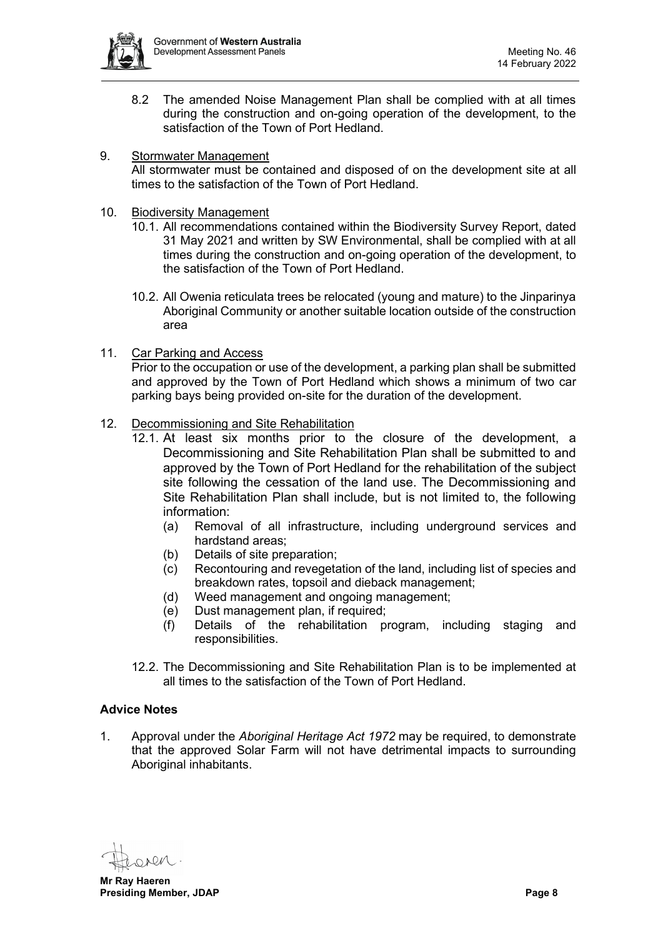

8.2 The amended Noise Management Plan shall be complied with at all times during the construction and on-going operation of the development, to the satisfaction of the Town of Port Hedland.

# 9. Stormwater Management

All stormwater must be contained and disposed of on the development site at all times to the satisfaction of the Town of Port Hedland.

- 10. Biodiversity Management
	- 10.1. All recommendations contained within the Biodiversity Survey Report, dated 31 May 2021 and written by SW Environmental, shall be complied with at all times during the construction and on-going operation of the development, to the satisfaction of the Town of Port Hedland.
	- 10.2. All Owenia reticulata trees be relocated (young and mature) to the Jinparinya Aboriginal Community or another suitable location outside of the construction area
- 11. Car Parking and Access

Prior to the occupation or use of the development, a parking plan shall be submitted and approved by the Town of Port Hedland which shows a minimum of two car parking bays being provided on-site for the duration of the development.

# 12. Decommissioning and Site Rehabilitation

- 12.1. At least six months prior to the closure of the development, a Decommissioning and Site Rehabilitation Plan shall be submitted to and approved by the Town of Port Hedland for the rehabilitation of the subject site following the cessation of the land use. The Decommissioning and Site Rehabilitation Plan shall include, but is not limited to, the following information:
	- (a) Removal of all infrastructure, including underground services and hardstand areas;
	- (b) Details of site preparation;
	- (c) Recontouring and revegetation of the land, including list of species and breakdown rates, topsoil and dieback management;
	- (d) Weed management and ongoing management;
	- (e) Dust management plan, if required;
	- (f) Details of the rehabilitation program, including staging and responsibilities.
- 12.2. The Decommissioning and Site Rehabilitation Plan is to be implemented at all times to the satisfaction of the Town of Port Hedland.

#### **Advice Notes**

1. Approval under the *Aboriginal Heritage Act 1972* may be required, to demonstrate that the approved Solar Farm will not have detrimental impacts to surrounding Aboriginal inhabitants.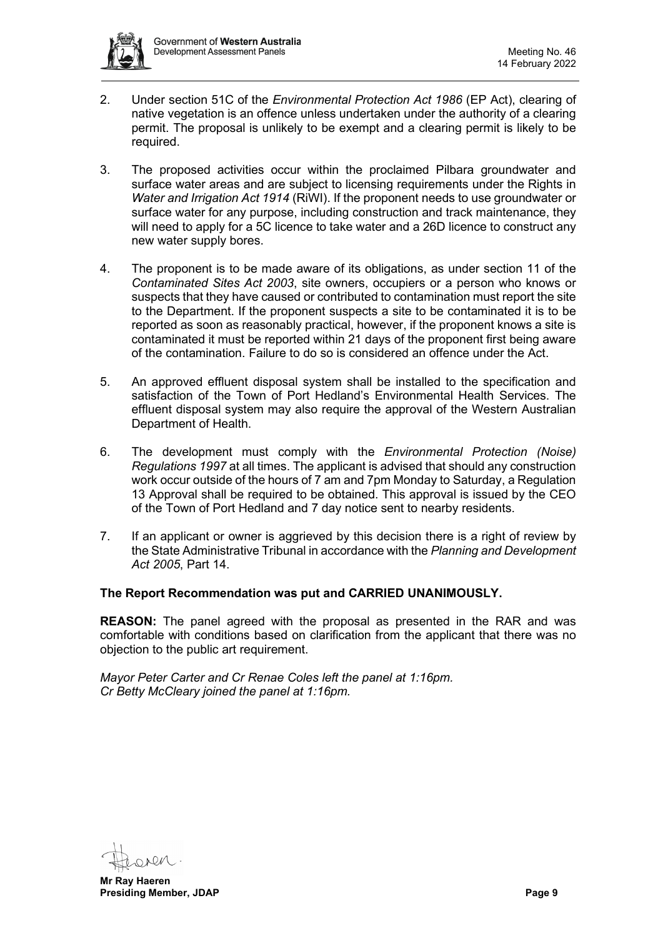

- 2. Under section 51C of the *Environmental Protection Act 1986* (EP Act), clearing of native vegetation is an offence unless undertaken under the authority of a clearing permit. The proposal is unlikely to be exempt and a clearing permit is likely to be required.
- 3. The proposed activities occur within the proclaimed Pilbara groundwater and surface water areas and are subject to licensing requirements under the Rights in *Water and Irrigation Act 1914* (RiWI). If the proponent needs to use groundwater or surface water for any purpose, including construction and track maintenance, they will need to apply for a 5C licence to take water and a 26D licence to construct any new water supply bores.
- 4. The proponent is to be made aware of its obligations, as under section 11 of the *Contaminated Sites Act 2003*, site owners, occupiers or a person who knows or suspects that they have caused or contributed to contamination must report the site to the Department. If the proponent suspects a site to be contaminated it is to be reported as soon as reasonably practical, however, if the proponent knows a site is contaminated it must be reported within 21 days of the proponent first being aware of the contamination. Failure to do so is considered an offence under the Act.
- 5. An approved effluent disposal system shall be installed to the specification and satisfaction of the Town of Port Hedland's Environmental Health Services. The effluent disposal system may also require the approval of the Western Australian Department of Health.
- 6. The development must comply with the *Environmental Protection (Noise) Regulations 1997* at all times. The applicant is advised that should any construction work occur outside of the hours of 7 am and 7pm Monday to Saturday, a Regulation 13 Approval shall be required to be obtained. This approval is issued by the CEO of the Town of Port Hedland and 7 day notice sent to nearby residents.
- 7. If an applicant or owner is aggrieved by this decision there is a right of review by the State Administrative Tribunal in accordance with the *Planning and Development Act 2005*, Part 14.

# **The Report Recommendation was put and CARRIED UNANIMOUSLY.**

**REASON:** The panel agreed with the proposal as presented in the RAR and was comfortable with conditions based on clarification from the applicant that there was no objection to the public art requirement.

*Mayor Peter Carter and Cr Renae Coles left the panel at 1:16pm. Cr Betty McCleary joined the panel at 1:16pm.*

**Mr Ray Haeren Presiding Member, JDAP Page 9**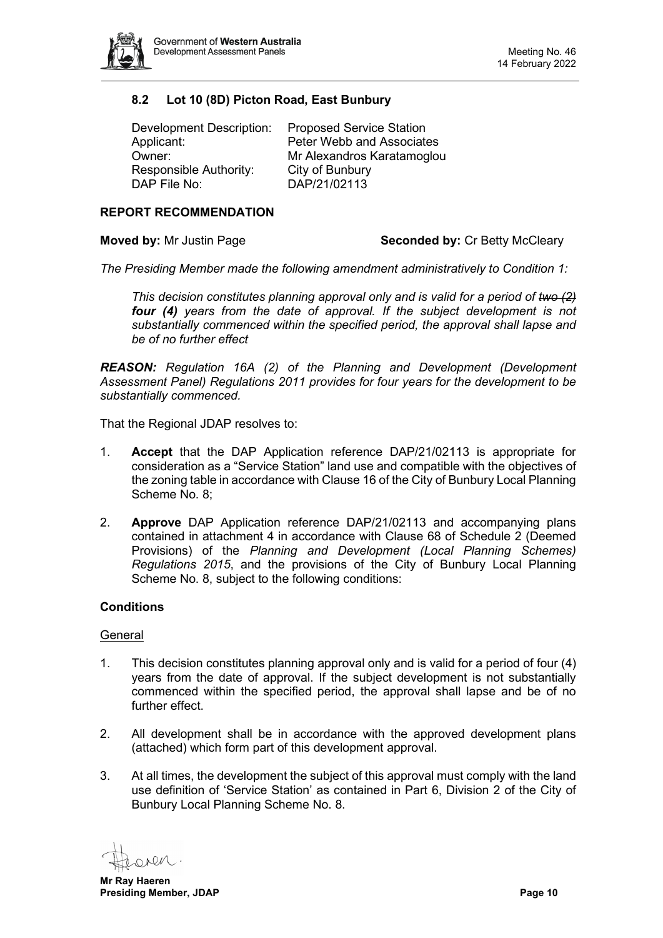

# <span id="page-9-0"></span>**8.2 Lot 10 (8D) Picton Road, East Bunbury**

| Development Description: | <b>Proposed Service Station</b>  |
|--------------------------|----------------------------------|
| Applicant:               | <b>Peter Webb and Associates</b> |
| Owner:                   | Mr Alexandros Karatamoglou       |
| Responsible Authority:   | City of Bunbury                  |
| DAP File No:             | DAP/21/02113                     |

#### **REPORT RECOMMENDATION**

**Moved by:** Mr Justin Page **Seconded by:** Cr Betty McCleary

*The Presiding Member made the following amendment administratively to Condition 1:*

*This decision constitutes planning approval only and is valid for a period of two (2) four (4) years from the date of approval. If the subject development is not substantially commenced within the specified period, the approval shall lapse and be of no further effect*

*REASON: Regulation 16A (2) of the Planning and Development (Development Assessment Panel) Regulations 2011 provides for four years for the development to be substantially commenced.*

That the Regional JDAP resolves to:

- 1. **Accept** that the DAP Application reference DAP/21/02113 is appropriate for consideration as a "Service Station" land use and compatible with the objectives of the zoning table in accordance with Clause 16 of the City of Bunbury Local Planning Scheme No. 8;
- 2. **Approve** DAP Application reference DAP/21/02113 and accompanying plans contained in attachment 4 in accordance with Clause 68 of Schedule 2 (Deemed Provisions) of the *Planning and Development (Local Planning Schemes) Regulations 2015*, and the provisions of the City of Bunbury Local Planning Scheme No. 8, subject to the following conditions:

# **Conditions**

#### **General**

- 1. This decision constitutes planning approval only and is valid for a period of four (4) years from the date of approval. If the subject development is not substantially commenced within the specified period, the approval shall lapse and be of no further effect.
- 2. All development shall be in accordance with the approved development plans (attached) which form part of this development approval.
- 3. At all times, the development the subject of this approval must comply with the land use definition of 'Service Station' as contained in Part 6, Division 2 of the City of Bunbury Local Planning Scheme No. 8.

ren

**Mr Ray Haeren Presiding Member, JDAP Page 10**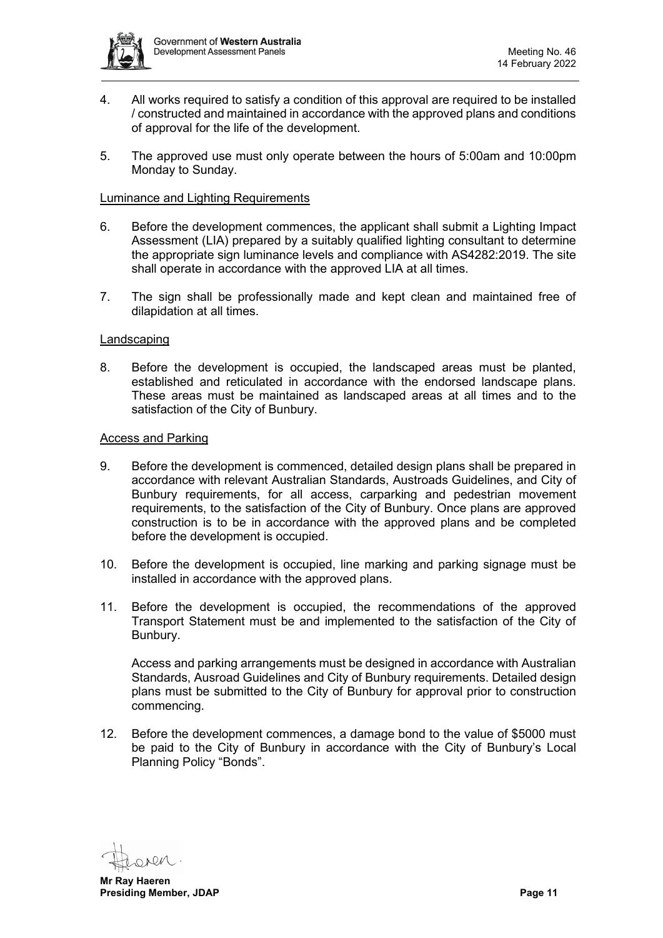

- 4. All works required to satisfy a condition of this approval are required to be installed / constructed and maintained in accordance with the approved plans and conditions of approval for the life of the development.
- 5. The approved use must only operate between the hours of 5:00am and 10:00pm Monday to Sunday.

#### Luminance and Lighting Requirements

- 6. Before the development commences, the applicant shall submit a Lighting Impact Assessment (LIA) prepared by a suitably qualified lighting consultant to determine the appropriate sign luminance levels and compliance with AS4282:2019. The site shall operate in accordance with the approved LIA at all times.
- 7. The sign shall be professionally made and kept clean and maintained free of dilapidation at all times.

#### **Landscaping**

8. Before the development is occupied, the landscaped areas must be planted, established and reticulated in accordance with the endorsed landscape plans. These areas must be maintained as landscaped areas at all times and to the satisfaction of the City of Bunbury.

#### Access and Parking

- 9. Before the development is commenced, detailed design plans shall be prepared in accordance with relevant Australian Standards, Austroads Guidelines, and City of Bunbury requirements, for all access, carparking and pedestrian movement requirements, to the satisfaction of the City of Bunbury. Once plans are approved construction is to be in accordance with the approved plans and be completed before the development is occupied.
- 10. Before the development is occupied, line marking and parking signage must be installed in accordance with the approved plans.
- 11. Before the development is occupied, the recommendations of the approved Transport Statement must be and implemented to the satisfaction of the City of Bunbury.

Access and parking arrangements must be designed in accordance with Australian Standards, Ausroad Guidelines and City of Bunbury requirements. Detailed design plans must be submitted to the City of Bunbury for approval prior to construction commencing.

12. Before the development commences, a damage bond to the value of \$5000 must be paid to the City of Bunbury in accordance with the City of Bunbury's Local Planning Policy "Bonds".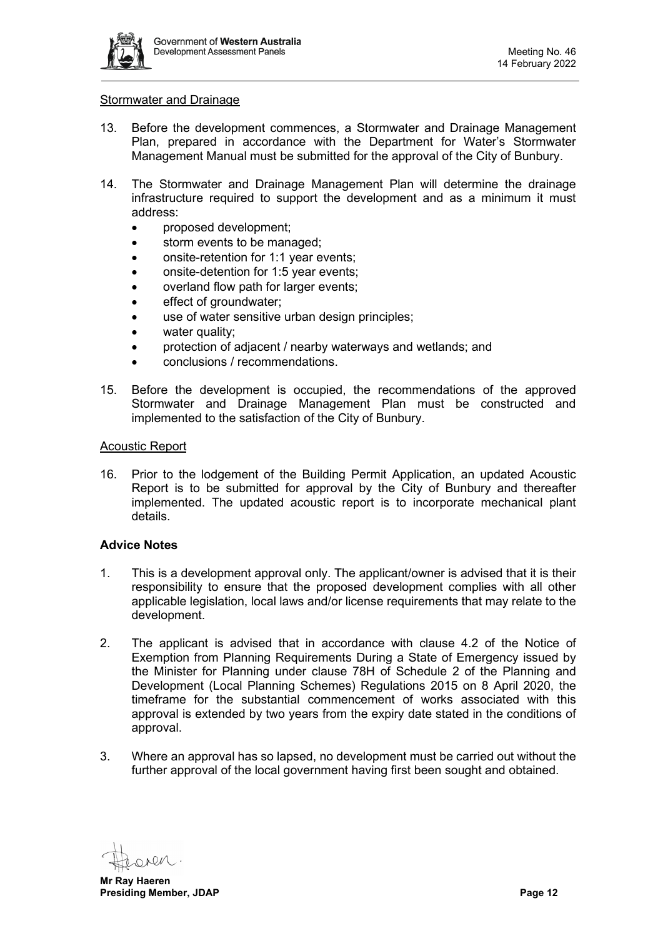

#### Stormwater and Drainage

- 13. Before the development commences, a Stormwater and Drainage Management Plan, prepared in accordance with the Department for Water's Stormwater Management Manual must be submitted for the approval of the City of Bunbury.
- 14. The Stormwater and Drainage Management Plan will determine the drainage infrastructure required to support the development and as a minimum it must address:
	- proposed development;
	- storm events to be managed;
	- onsite-retention for 1:1 year events;
	- onsite-detention for 1:5 year events;
	- overland flow path for larger events;
	- effect of groundwater;
	- use of water sensitive urban design principles:
	- water quality:
	- protection of adjacent / nearby waterways and wetlands; and
	- conclusions / recommendations.
- 15. Before the development is occupied, the recommendations of the approved Stormwater and Drainage Management Plan must be constructed and implemented to the satisfaction of the City of Bunbury.

#### Acoustic Report

16. Prior to the lodgement of the Building Permit Application, an updated Acoustic Report is to be submitted for approval by the City of Bunbury and thereafter implemented. The updated acoustic report is to incorporate mechanical plant details.

#### **Advice Notes**

- 1. This is a development approval only. The applicant/owner is advised that it is their responsibility to ensure that the proposed development complies with all other applicable legislation, local laws and/or license requirements that may relate to the development.
- 2. The applicant is advised that in accordance with clause 4.2 of the Notice of Exemption from Planning Requirements During a State of Emergency issued by the Minister for Planning under clause 78H of Schedule 2 of the Planning and Development (Local Planning Schemes) Regulations 2015 on 8 April 2020, the timeframe for the substantial commencement of works associated with this approval is extended by two years from the expiry date stated in the conditions of approval.
- 3. Where an approval has so lapsed, no development must be carried out without the further approval of the local government having first been sought and obtained.

**Mr Ray Haeren Presiding Member, JDAP Page 12**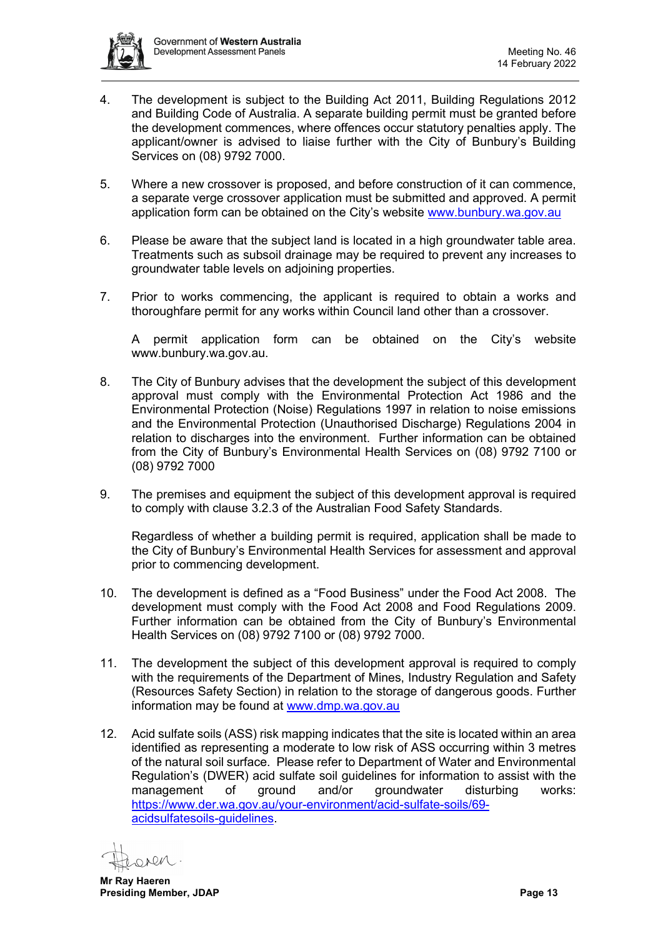

- 4. The development is subject to the Building Act 2011, Building Regulations 2012 and Building Code of Australia. A separate building permit must be granted before the development commences, where offences occur statutory penalties apply. The applicant/owner is advised to liaise further with the City of Bunbury's Building Services on (08) 9792 7000.
- 5. Where a new crossover is proposed, and before construction of it can commence, a separate verge crossover application must be submitted and approved. A permit application form can be obtained on the City's website [www.bunbury.wa.gov.au](http://www.bunbury.wa.gov.au/)
- 6. Please be aware that the subject land is located in a high groundwater table area. Treatments such as subsoil drainage may be required to prevent any increases to groundwater table levels on adjoining properties.
- 7. Prior to works commencing, the applicant is required to obtain a works and thoroughfare permit for any works within Council land other than a crossover.

A permit application form can be obtained on the City's website [www.bunbury.wa.gov.au.](http://www.bunbury.wa.gov.au/)

- 8. The City of Bunbury advises that the development the subject of this development approval must comply with the Environmental Protection Act 1986 and the Environmental Protection (Noise) Regulations 1997 in relation to noise emissions and the Environmental Protection (Unauthorised Discharge) Regulations 2004 in relation to discharges into the environment. Further information can be obtained from the City of Bunbury's Environmental Health Services on (08) 9792 7100 or (08) 9792 7000
- 9. The premises and equipment the subject of this development approval is required to comply with clause 3.2.3 of the Australian Food Safety Standards.

Regardless of whether a building permit is required, application shall be made to the City of Bunbury's Environmental Health Services for assessment and approval prior to commencing development.

- 10. The development is defined as a "Food Business" under the Food Act 2008. The development must comply with the Food Act 2008 and Food Regulations 2009. Further information can be obtained from the City of Bunbury's Environmental Health Services on (08) 9792 7100 or (08) 9792 7000.
- 11. The development the subject of this development approval is required to comply with the requirements of the Department of Mines, Industry Regulation and Safety (Resources Safety Section) in relation to the storage of dangerous goods. Further information may be found at [www.dmp.wa.gov.au](http://www.dmp.wa.gov.au/)
- 12. Acid sulfate soils (ASS) risk mapping indicates that the site is located within an area identified as representing a moderate to low risk of ASS occurring within 3 metres of the natural soil surface. Please refer to Department of Water and Environmental Regulation's (DWER) acid sulfate soil guidelines for information to assist with the management of ground and/or groundwater disturbing works: [https://www.der.wa.gov.au/your-environment/acid-sulfate-soils/69](https://www.der.wa.gov.au/your-environment/acid-sulfate-soils/69-acidsulfatesoils-guidelines) [acidsulfatesoils-guidelines.](https://www.der.wa.gov.au/your-environment/acid-sulfate-soils/69-acidsulfatesoils-guidelines)

 $200$ 

**Mr Ray Haeren Presiding Member, JDAP Page 13**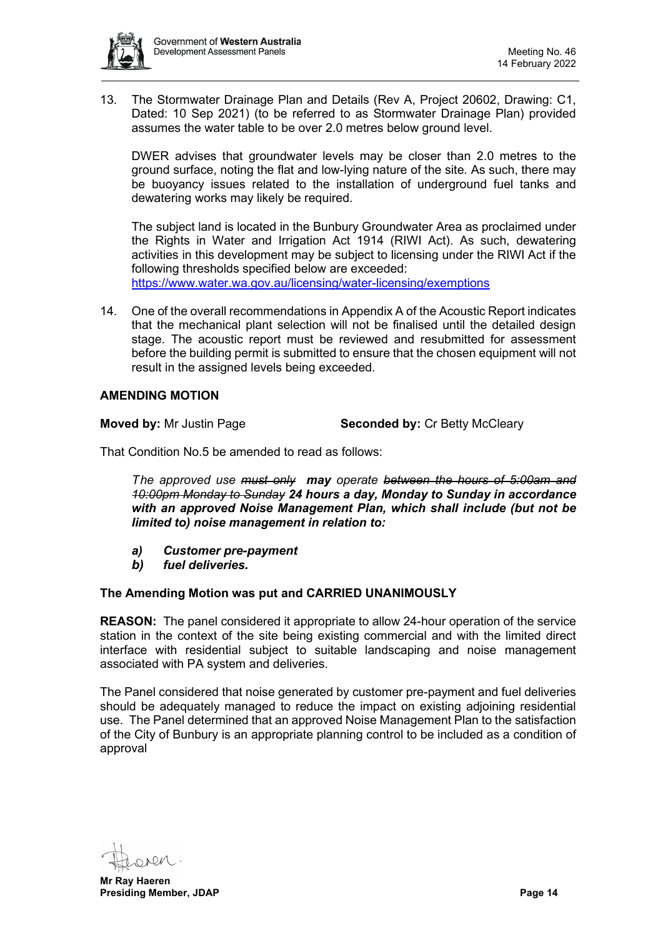

13. The Stormwater Drainage Plan and Details (Rev A, Project 20602, Drawing: C1, Dated: 10 Sep 2021) (to be referred to as Stormwater Drainage Plan) provided assumes the water table to be over 2.0 metres below ground level.

DWER advises that groundwater levels may be closer than 2.0 metres to the ground surface, noting the flat and low-lying nature of the site. As such, there may be buoyancy issues related to the installation of underground fuel tanks and dewatering works may likely be required.

The subject land is located in the Bunbury Groundwater Area as proclaimed under the Rights in Water and Irrigation Act 1914 (RIWI Act). As such, dewatering activities in this development may be subject to licensing under the RIWI Act if the following thresholds specified below are exceeded:

<https://www.water.wa.gov.au/licensing/water-licensing/exemptions>

14. One of the overall recommendations in Appendix A of the Acoustic Report indicates that the mechanical plant selection will not be finalised until the detailed design stage. The acoustic report must be reviewed and resubmitted for assessment before the building permit is submitted to ensure that the chosen equipment will not result in the assigned levels being exceeded.

# **AMENDING MOTION**

**Moved by:** Mr Justin Page **Seconded by:** Cr Betty McCleary

That Condition No.5 be amended to read as follows:

*The approved use must only may operate between the hours of 5:00am and 10:00pm Monday to Sunday 24 hours a day, Monday to Sunday in accordance with an approved Noise Management Plan, which shall include (but not be limited to) noise management in relation to:* 

- *a) Customer pre-payment*
- *b) fuel deliveries.*

#### **The Amending Motion was put and CARRIED UNANIMOUSLY**

**REASON:** The panel considered it appropriate to allow 24-hour operation of the service station in the context of the site being existing commercial and with the limited direct interface with residential subject to suitable landscaping and noise management associated with PA system and deliveries.

The Panel considered that noise generated by customer pre-payment and fuel deliveries should be adequately managed to reduce the impact on existing adjoining residential use. The Panel determined that an approved Noise Management Plan to the satisfaction of the City of Bunbury is an appropriate planning control to be included as a condition of approval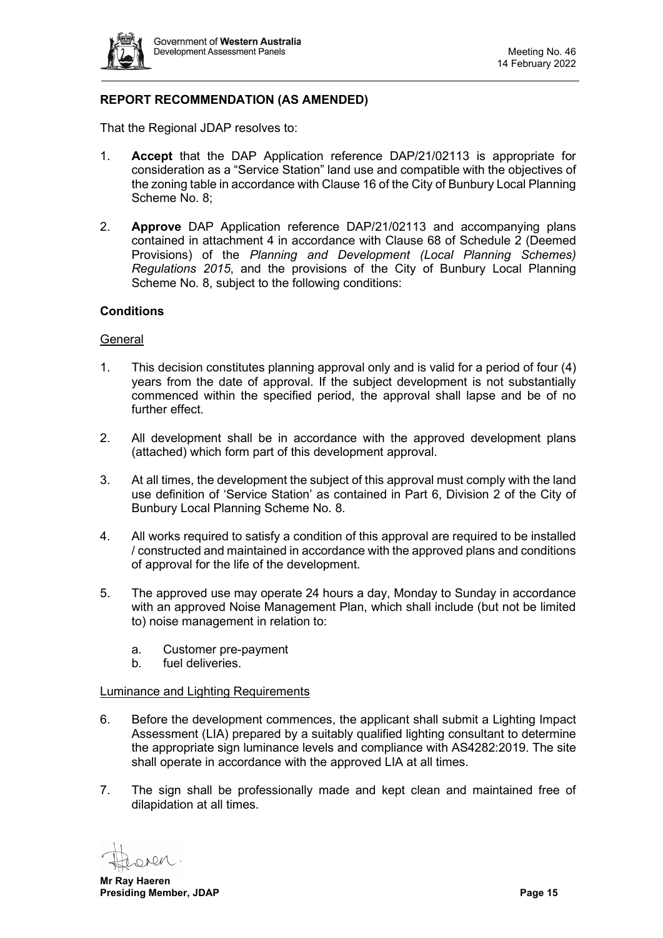

# **REPORT RECOMMENDATION (AS AMENDED)**

That the Regional JDAP resolves to:

- 1. **Accept** that the DAP Application reference DAP/21/02113 is appropriate for consideration as a "Service Station" land use and compatible with the objectives of the zoning table in accordance with Clause 16 of the City of Bunbury Local Planning Scheme No. 8;
- 2. **Approve** DAP Application reference DAP/21/02113 and accompanying plans contained in attachment 4 in accordance with Clause 68 of Schedule 2 (Deemed Provisions) of the *Planning and Development (Local Planning Schemes) Regulations 2015*, and the provisions of the City of Bunbury Local Planning Scheme No. 8, subject to the following conditions:

### **Conditions**

#### **General**

- 1. This decision constitutes planning approval only and is valid for a period of four (4) years from the date of approval. If the subject development is not substantially commenced within the specified period, the approval shall lapse and be of no further effect.
- 2. All development shall be in accordance with the approved development plans (attached) which form part of this development approval.
- 3. At all times, the development the subject of this approval must comply with the land use definition of 'Service Station' as contained in Part 6, Division 2 of the City of Bunbury Local Planning Scheme No. 8.
- 4. All works required to satisfy a condition of this approval are required to be installed / constructed and maintained in accordance with the approved plans and conditions of approval for the life of the development.
- 5. The approved use may operate 24 hours a day, Monday to Sunday in accordance with an approved Noise Management Plan, which shall include (but not be limited to) noise management in relation to:
	- a. Customer pre-payment
	- b. fuel deliveries.

#### Luminance and Lighting Requirements

- 6. Before the development commences, the applicant shall submit a Lighting Impact Assessment (LIA) prepared by a suitably qualified lighting consultant to determine the appropriate sign luminance levels and compliance with AS4282:2019. The site shall operate in accordance with the approved LIA at all times.
- 7. The sign shall be professionally made and kept clean and maintained free of dilapidation at all times.

DV

**Mr Ray Haeren Presiding Member, JDAP Page 15**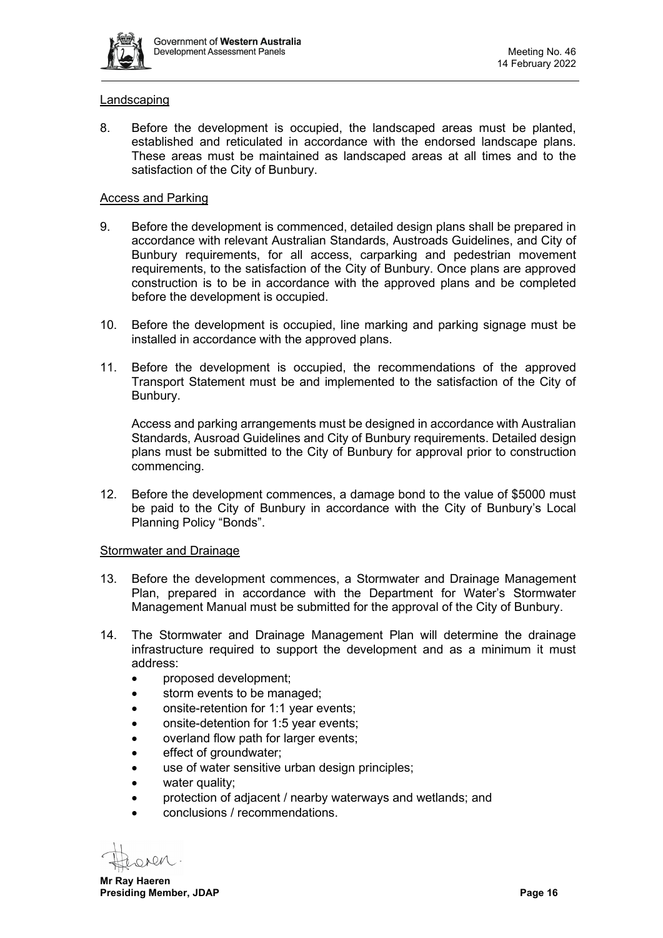

#### Landscaping

8. Before the development is occupied, the landscaped areas must be planted, established and reticulated in accordance with the endorsed landscape plans. These areas must be maintained as landscaped areas at all times and to the satisfaction of the City of Bunbury.

### Access and Parking

- 9. Before the development is commenced, detailed design plans shall be prepared in accordance with relevant Australian Standards, Austroads Guidelines, and City of Bunbury requirements, for all access, carparking and pedestrian movement requirements, to the satisfaction of the City of Bunbury. Once plans are approved construction is to be in accordance with the approved plans and be completed before the development is occupied.
- 10. Before the development is occupied, line marking and parking signage must be installed in accordance with the approved plans.
- 11. Before the development is occupied, the recommendations of the approved Transport Statement must be and implemented to the satisfaction of the City of Bunbury.

Access and parking arrangements must be designed in accordance with Australian Standards, Ausroad Guidelines and City of Bunbury requirements. Detailed design plans must be submitted to the City of Bunbury for approval prior to construction commencing.

12. Before the development commences, a damage bond to the value of \$5000 must be paid to the City of Bunbury in accordance with the City of Bunbury's Local Planning Policy "Bonds".

#### Stormwater and Drainage

- 13. Before the development commences, a Stormwater and Drainage Management Plan, prepared in accordance with the Department for Water's Stormwater Management Manual must be submitted for the approval of the City of Bunbury.
- 14. The Stormwater and Drainage Management Plan will determine the drainage infrastructure required to support the development and as a minimum it must address:
	- proposed development:
	- storm events to be managed;
	- onsite-retention for 1:1 year events;
	- onsite-detention for 1:5 year events;
	- overland flow path for larger events;
	- effect of groundwater:
	- use of water sensitive urban design principles;
	- water quality:
	- protection of adjacent / nearby waterways and wetlands; and
	- conclusions / recommendations.

OARN

**Mr Ray Haeren Presiding Member, JDAP Presiding Member, JDAP**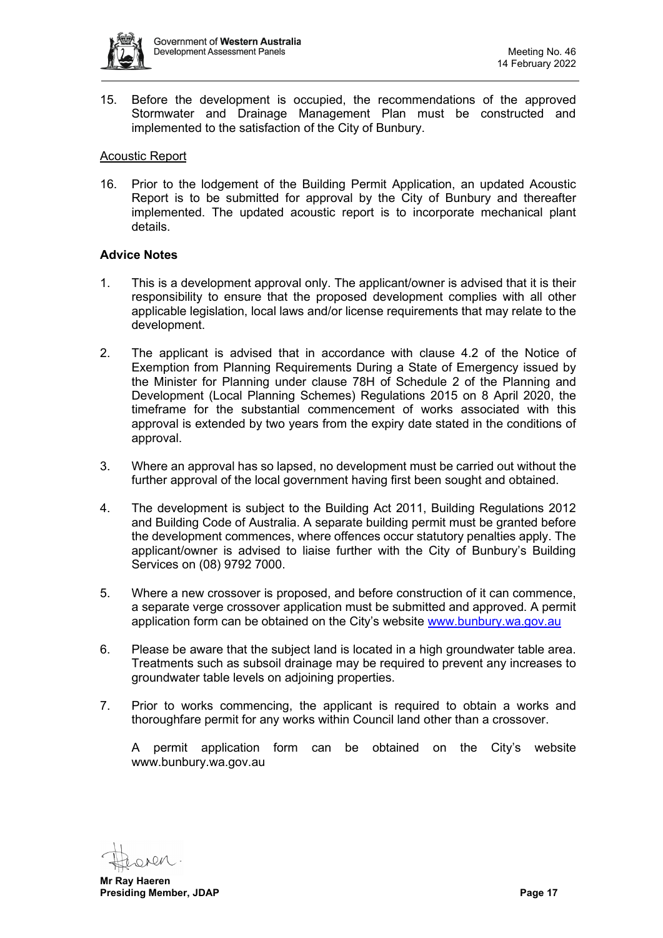

15. Before the development is occupied, the recommendations of the approved Stormwater and Drainage Management Plan must be constructed and implemented to the satisfaction of the City of Bunbury.

#### Acoustic Report

16. Prior to the lodgement of the Building Permit Application, an updated Acoustic Report is to be submitted for approval by the City of Bunbury and thereafter implemented. The updated acoustic report is to incorporate mechanical plant details.

# **Advice Notes**

- 1. This is a development approval only. The applicant/owner is advised that it is their responsibility to ensure that the proposed development complies with all other applicable legislation, local laws and/or license requirements that may relate to the development.
- 2. The applicant is advised that in accordance with clause 4.2 of the Notice of Exemption from Planning Requirements During a State of Emergency issued by the Minister for Planning under clause 78H of Schedule 2 of the Planning and Development (Local Planning Schemes) Regulations 2015 on 8 April 2020, the timeframe for the substantial commencement of works associated with this approval is extended by two years from the expiry date stated in the conditions of approval.
- 3. Where an approval has so lapsed, no development must be carried out without the further approval of the local government having first been sought and obtained.
- 4. The development is subject to the Building Act 2011, Building Regulations 2012 and Building Code of Australia. A separate building permit must be granted before the development commences, where offences occur statutory penalties apply. The applicant/owner is advised to liaise further with the City of Bunbury's Building Services on (08) 9792 7000.
- 5. Where a new crossover is proposed, and before construction of it can commence, a separate verge crossover application must be submitted and approved. A permit application form can be obtained on the City's website [www.bunbury.wa.gov.au](http://www.bunbury.wa.gov.au/)
- 6. Please be aware that the subject land is located in a high groundwater table area. Treatments such as subsoil drainage may be required to prevent any increases to groundwater table levels on adjoining properties.
- 7. Prior to works commencing, the applicant is required to obtain a works and thoroughfare permit for any works within Council land other than a crossover.

A permit application form can be obtained on the City's website [www.bunbury.wa.gov.au](http://www.bunbury.wa.gov.au/)

**Mr Ray Haeren Presiding Member, JDAP Page 17**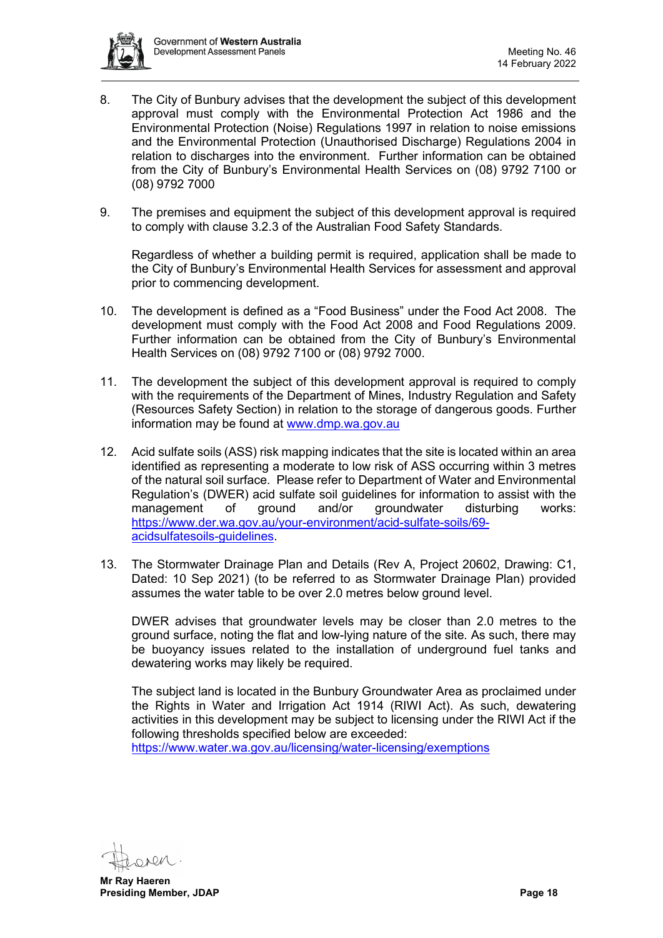

- 8. The City of Bunbury advises that the development the subject of this development approval must comply with the Environmental Protection Act 1986 and the Environmental Protection (Noise) Regulations 1997 in relation to noise emissions and the Environmental Protection (Unauthorised Discharge) Regulations 2004 in relation to discharges into the environment. Further information can be obtained from the City of Bunbury's Environmental Health Services on (08) 9792 7100 or (08) 9792 7000
- 9. The premises and equipment the subject of this development approval is required to comply with clause 3.2.3 of the Australian Food Safety Standards.

Regardless of whether a building permit is required, application shall be made to the City of Bunbury's Environmental Health Services for assessment and approval prior to commencing development.

- 10. The development is defined as a "Food Business" under the Food Act 2008. The development must comply with the Food Act 2008 and Food Regulations 2009. Further information can be obtained from the City of Bunbury's Environmental Health Services on (08) 9792 7100 or (08) 9792 7000.
- 11. The development the subject of this development approval is required to comply with the requirements of the Department of Mines, Industry Regulation and Safety (Resources Safety Section) in relation to the storage of dangerous goods. Further information may be found at [www.dmp.wa.gov.au](http://www.dmp.wa.gov.au/)
- 12. Acid sulfate soils (ASS) risk mapping indicates that the site is located within an area identified as representing a moderate to low risk of ASS occurring within 3 metres of the natural soil surface. Please refer to Department of Water and Environmental Regulation's (DWER) acid sulfate soil guidelines for information to assist with the management of ground and/or groundwater disturbing works: [https://www.der.wa.gov.au/your-environment/acid-sulfate-soils/69](https://www.der.wa.gov.au/your-environment/acid-sulfate-soils/69-acidsulfatesoils-guidelines) [acidsulfatesoils-guidelines.](https://www.der.wa.gov.au/your-environment/acid-sulfate-soils/69-acidsulfatesoils-guidelines)
- 13. The Stormwater Drainage Plan and Details (Rev A, Project 20602, Drawing: C1, Dated: 10 Sep 2021) (to be referred to as Stormwater Drainage Plan) provided assumes the water table to be over 2.0 metres below ground level.

DWER advises that groundwater levels may be closer than 2.0 metres to the ground surface, noting the flat and low-lying nature of the site. As such, there may be buoyancy issues related to the installation of underground fuel tanks and dewatering works may likely be required.

The subject land is located in the Bunbury Groundwater Area as proclaimed under the Rights in Water and Irrigation Act 1914 (RIWI Act). As such, dewatering activities in this development may be subject to licensing under the RIWI Act if the following thresholds specified below are exceeded:

<https://www.water.wa.gov.au/licensing/water-licensing/exemptions>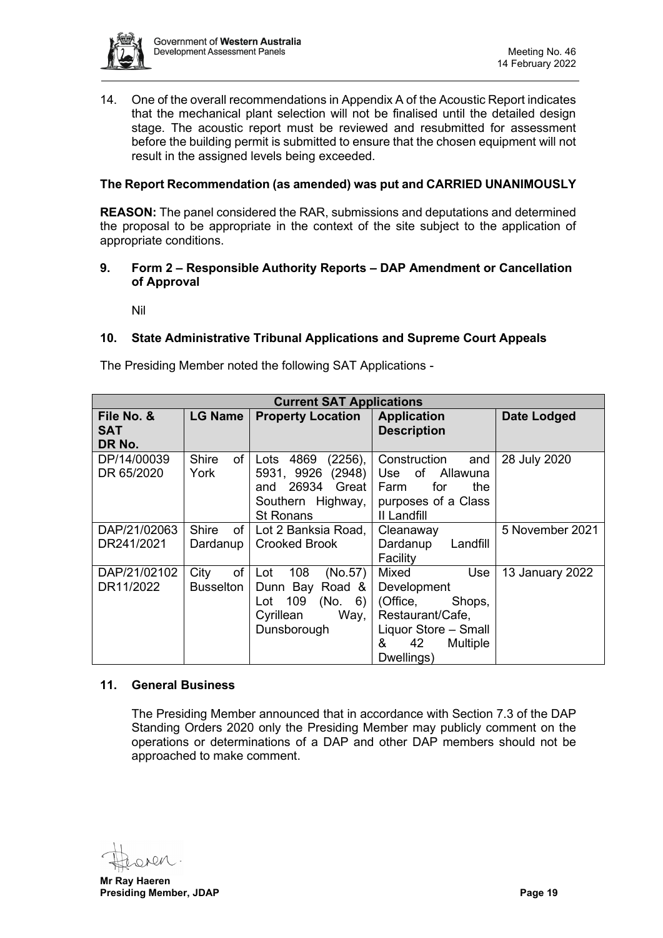

14. One of the overall recommendations in Appendix A of the Acoustic Report indicates that the mechanical plant selection will not be finalised until the detailed design stage. The acoustic report must be reviewed and resubmitted for assessment before the building permit is submitted to ensure that the chosen equipment will not result in the assigned levels being exceeded.

# **The Report Recommendation (as amended) was put and CARRIED UNANIMOUSLY**

**REASON:** The panel considered the RAR, submissions and deputations and determined the proposal to be appropriate in the context of the site subject to the application of appropriate conditions.

### <span id="page-18-0"></span>**9. Form 2 – Responsible Authority Reports – DAP Amendment or Cancellation of Approval**

Nil

# <span id="page-18-2"></span><span id="page-18-1"></span>**10. State Administrative Tribunal Applications and Supreme Court Appeals**

The Presiding Member noted the following SAT Applications -

| <b>Current SAT Applications</b>    |                              |                                                                                                                |                                                                                                       |                 |  |  |  |  |
|------------------------------------|------------------------------|----------------------------------------------------------------------------------------------------------------|-------------------------------------------------------------------------------------------------------|-----------------|--|--|--|--|
| File No. &<br><b>SAT</b><br>DR No. | <b>LG Name</b>               | <b>Property Location</b>                                                                                       | <b>Application</b><br><b>Description</b>                                                              | Date Lodged     |  |  |  |  |
| DP/14/00039<br>DR 65/2020          | <b>Shire</b><br>of l<br>York | 4869<br>$(2256)$ ,<br>Lots<br>(2948)<br>5931, 9926<br>and 26934 Great<br>Southern Highway,<br><b>St Ronans</b> | Construction<br>and<br>Use of<br>Allawuna<br>the<br>Farm<br>for<br>purposes of a Class<br>II Landfill | 28 July 2020    |  |  |  |  |
| DAP/21/02063                       | <b>Shire</b><br>of l         | Lot 2 Banksia Road,                                                                                            | Cleanaway                                                                                             | 5 November 2021 |  |  |  |  |
| DR241/2021                         | Dardanup                     | <b>Crooked Brook</b>                                                                                           | Dardanup<br>Landfill<br>Facility                                                                      |                 |  |  |  |  |
| DAP/21/02102                       | of<br>City                   | 108<br>(No.57)<br>Lot                                                                                          | Mixed<br>Use                                                                                          | 13 January 2022 |  |  |  |  |
| DR11/2022                          | <b>Busselton</b>             | Dunn Bay Road &                                                                                                | Development                                                                                           |                 |  |  |  |  |
|                                    |                              | 109<br>(No. 6)<br>Lot                                                                                          | (Office,<br>Shops,                                                                                    |                 |  |  |  |  |
|                                    |                              | Cyrillean<br>Way,                                                                                              | Restaurant/Cafe,                                                                                      |                 |  |  |  |  |
|                                    |                              | Dunsborough                                                                                                    | Liquor Store - Small                                                                                  |                 |  |  |  |  |
|                                    |                              |                                                                                                                | &<br>42<br><b>Multiple</b>                                                                            |                 |  |  |  |  |
|                                    |                              |                                                                                                                | Dwellings)                                                                                            |                 |  |  |  |  |

#### <span id="page-18-3"></span>**11. General Business**

The Presiding Member announced that in accordance with Section 7.3 of the DAP Standing Orders 2020 only the Presiding Member may publicly comment on the operations or determinations of a DAP and other DAP members should not be approached to make comment.

 $\mathcal{N}$